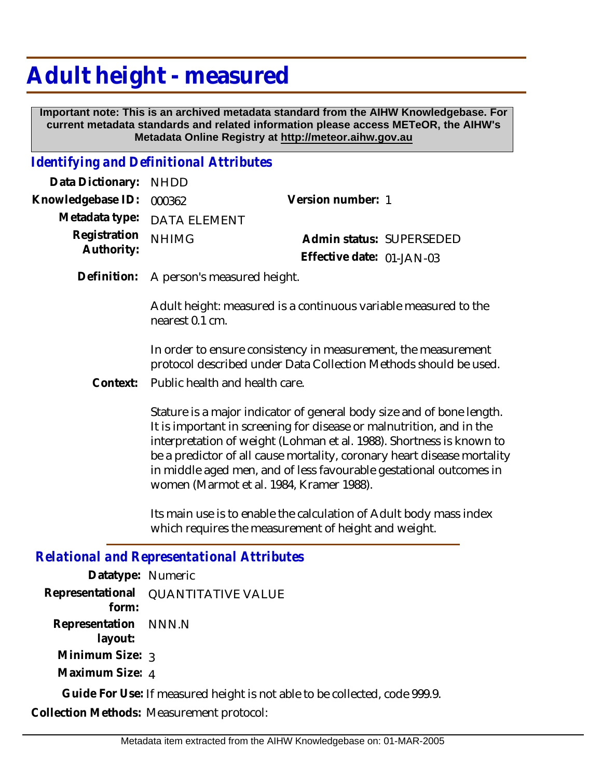## **Adult height - measured**

 **Important note: This is an archived metadata standard from the AIHW Knowledgebase. For current metadata standards and related information please access METeOR, the AIHW's Metadata Online Registry at http://meteor.aihw.gov.au**

## *Identifying and Definitional Attributes*

| Version number: 1                                                                                      |  |
|--------------------------------------------------------------------------------------------------------|--|
|                                                                                                        |  |
| Admin status: SUPERSEDED                                                                               |  |
| Effective date: $01$ -JAN-03                                                                           |  |
| Data Dictionary: NHDD<br>Knowledgebase ID: 000362<br>Metadata type: DATA ELEMENT<br>Registration NHIMG |  |

Definition: A person's measured height.

Adult height: measured is a continuous variable measured to the nearest 0.1 cm.

In order to ensure consistency in measurement, the measurement protocol described under Data Collection Methods should be used.

Public health and health care. **Context:**

> Stature is a major indicator of general body size and of bone length. It is important in screening for disease or malnutrition, and in the interpretation of weight (Lohman et al. 1988). Shortness is known to be a predictor of all cause mortality, coronary heart disease mortality in middle aged men, and of less favourable gestational outcomes in women (Marmot et al. 1984, Kramer 1988).

Its main use is to enable the calculation of Adult body mass index which requires the measurement of height and weight.

*Relational and Representational Attributes*

| Datatype: Numeric               |                                                                            |
|---------------------------------|----------------------------------------------------------------------------|
| form:                           | Representational QUANTITATIVE VALUE                                        |
| Representation NNN.N<br>layout: |                                                                            |
| Minimum Size: 3                 |                                                                            |
| Maximum Size: 4                 |                                                                            |
|                                 | Guide For Use: If measured height is not able to be collected, code 999.9. |
|                                 | Collection Methods: Measurement protocol:                                  |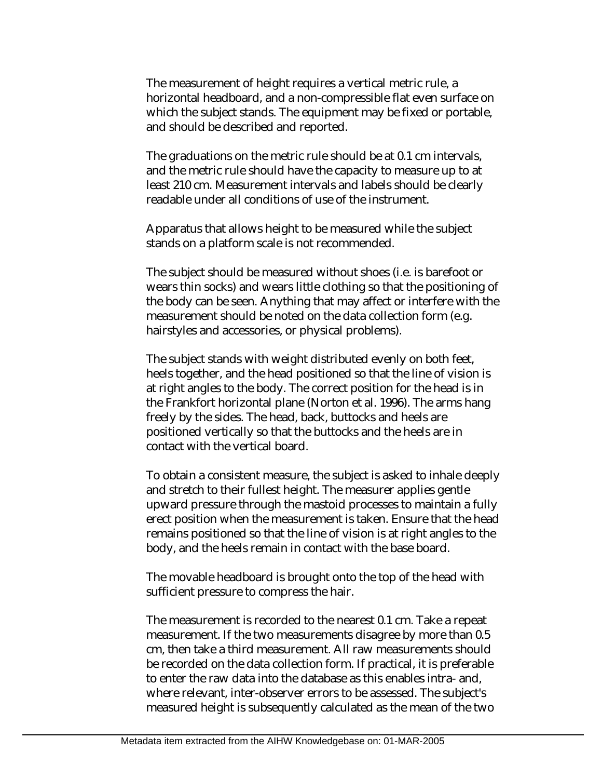The measurement of height requires a vertical metric rule, a horizontal headboard, and a non-compressible flat even surface on which the subject stands. The equipment may be fixed or portable, and should be described and reported.

The graduations on the metric rule should be at 0.1 cm intervals, and the metric rule should have the capacity to measure up to at least 210 cm. Measurement intervals and labels should be clearly readable under all conditions of use of the instrument.

Apparatus that allows height to be measured while the subject stands on a platform scale is not recommended.

The subject should be measured without shoes (i.e. is barefoot or wears thin socks) and wears little clothing so that the positioning of the body can be seen. Anything that may affect or interfere with the measurement should be noted on the data collection form (e.g. hairstyles and accessories, or physical problems).

The subject stands with weight distributed evenly on both feet, heels together, and the head positioned so that the line of vision is at right angles to the body. The correct position for the head is in the Frankfort horizontal plane (Norton et al. 1996). The arms hang freely by the sides. The head, back, buttocks and heels are positioned vertically so that the buttocks and the heels are in contact with the vertical board.

To obtain a consistent measure, the subject is asked to inhale deeply and stretch to their fullest height. The measurer applies gentle upward pressure through the mastoid processes to maintain a fully erect position when the measurement is taken. Ensure that the head remains positioned so that the line of vision is at right angles to the body, and the heels remain in contact with the base board.

The movable headboard is brought onto the top of the head with sufficient pressure to compress the hair.

The measurement is recorded to the nearest 0.1 cm. Take a repeat measurement. If the two measurements disagree by more than 0.5 cm, then take a third measurement. All raw measurements should be recorded on the data collection form. If practical, it is preferable to enter the raw data into the database as this enables intra- and, where relevant, inter-observer errors to be assessed. The subject's measured height is subsequently calculated as the mean of the two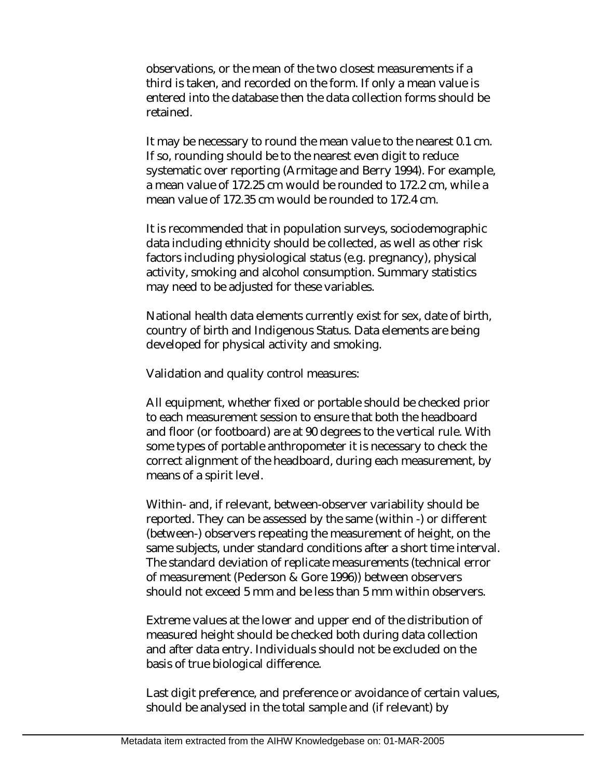observations, or the mean of the two closest measurements if a third is taken, and recorded on the form. If only a mean value is entered into the database then the data collection forms should be retained.

It may be necessary to round the mean value to the nearest 0.1 cm. If so, rounding should be to the nearest even digit to reduce systematic over reporting (Armitage and Berry 1994). For example, a mean value of 172.25 cm would be rounded to 172.2 cm, while a mean value of 172.35 cm would be rounded to 172.4 cm.

It is recommended that in population surveys, sociodemographic data including ethnicity should be collected, as well as other risk factors including physiological status (e.g. pregnancy), physical activity, smoking and alcohol consumption. Summary statistics may need to be adjusted for these variables.

National health data elements currently exist for sex, date of birth, country of birth and Indigenous Status. Data elements are being developed for physical activity and smoking.

Validation and quality control measures:

All equipment, whether fixed or portable should be checked prior to each measurement session to ensure that both the headboard and floor (or footboard) are at 90 degrees to the vertical rule. With some types of portable anthropometer it is necessary to check the correct alignment of the headboard, during each measurement, by means of a spirit level.

Within- and, if relevant, between-observer variability should be reported. They can be assessed by the same (within -) or different (between-) observers repeating the measurement of height, on the same subjects, under standard conditions after a short time interval. The standard deviation of replicate measurements (technical error of measurement (Pederson & Gore 1996)) between observers should not exceed 5 mm and be less than 5 mm within observers.

Extreme values at the lower and upper end of the distribution of measured height should be checked both during data collection and after data entry. Individuals should not be excluded on the basis of true biological difference.

Last digit preference, and preference or avoidance of certain values, should be analysed in the total sample and (if relevant) by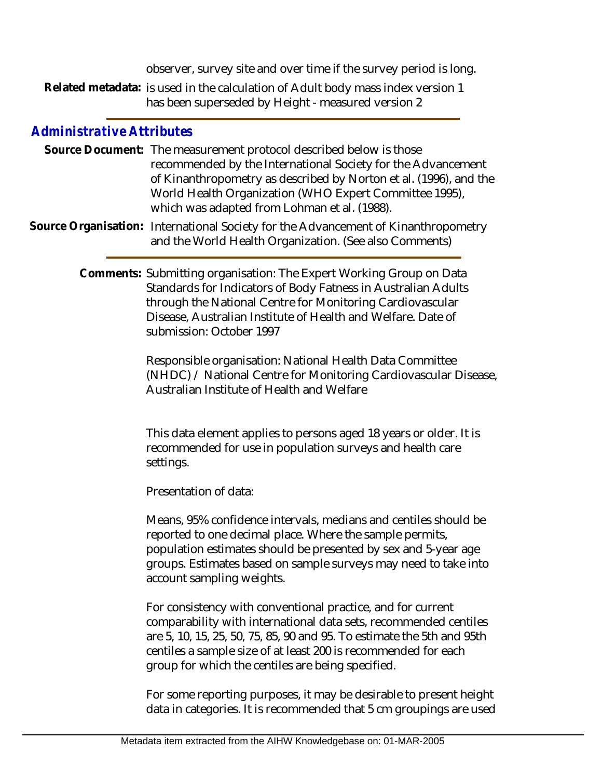observer, survey site and over time if the survey period is long.

Related metadata: is used in the calculation of Adult body mass index version 1 has been superseded by Height - measured version 2

## *Administrative Attributes*

Source Document: The measurement protocol described below is those recommended by the International Society for the Advancement of Kinanthropometry as described by Norton et al. (1996), and the World Health Organization (WHO Expert Committee 1995), which was adapted from Lohman et al. (1988).

Source Organisation: International Society for the Advancement of Kinanthropometry and the World Health Organization. (See also Comments)

> Comments: Submitting organisation: The Expert Working Group on Data Standards for Indicators of Body Fatness in Australian Adults through the National Centre for Monitoring Cardiovascular Disease, Australian Institute of Health and Welfare. Date of submission: October 1997

> > Responsible organisation: National Health Data Committee (NHDC) / National Centre for Monitoring Cardiovascular Disease, Australian Institute of Health and Welfare

This data element applies to persons aged 18 years or older. It is recommended for use in population surveys and health care settings.

Presentation of data:

Means, 95% confidence intervals, medians and centiles should be reported to one decimal place. Where the sample permits, population estimates should be presented by sex and 5-year age groups. Estimates based on sample surveys may need to take into account sampling weights.

For consistency with conventional practice, and for current comparability with international data sets, recommended centiles are 5, 10, 15, 25, 50, 75, 85, 90 and 95. To estimate the 5th and 95th centiles a sample size of at least 200 is recommended for each group for which the centiles are being specified.

For some reporting purposes, it may be desirable to present height data in categories. It is recommended that 5 cm groupings are used